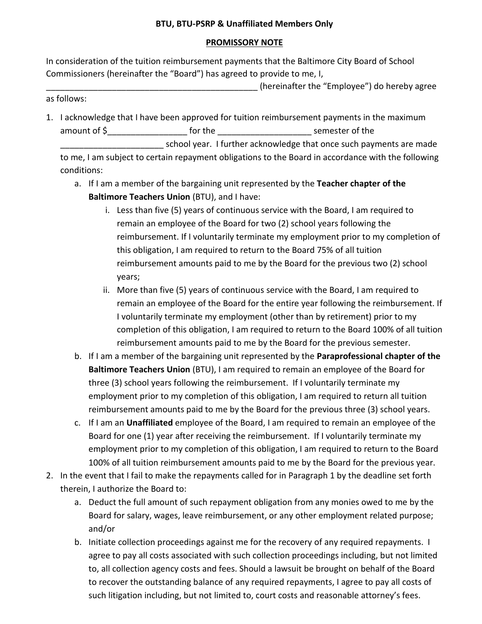## **PROMISSORY NOTE**

In consideration of the tuition reimbursement payments that the Baltimore City Board of School Commissioners (hereinafter the "Board") has agreed to provide to me, I,

\_\_\_\_\_\_\_\_\_\_\_\_\_\_\_\_\_\_\_\_\_\_\_\_\_\_\_\_\_\_\_\_\_\_\_\_\_\_\_\_\_\_\_\_\_ (hereinafter the "Employee") do hereby agree as follows:

1. I acknowledge that I have been approved for tuition reimbursement payments in the maximum amount of \$ The the the semester of the semester of the semester of the semester of the semester of the semester of the semester of the semester of the semester of the semester of the semester of the semester of the semest school year. I further acknowledge that once such payments are made to me, I am subject to certain repayment obligations to the Board in accordance with the following

conditions:

- a. If I am a member of the bargaining unit represented by the **Teacher chapter of the Baltimore Teachers Union** (BTU), and I have:
	- i. Less than five (5) years of continuous service with the Board, I am required to remain an employee of the Board for two (2) school years following the reimbursement. If I voluntarily terminate my employment prior to my completion of this obligation, I am required to return to the Board 75% of all tuition reimbursement amounts paid to me by the Board for the previous two (2) school years;
	- ii. More than five (5) years of continuous service with the Board, I am required to remain an employee of the Board for the entire year following the reimbursement. If I voluntarily terminate my employment (other than by retirement) prior to my completion of this obligation, I am required to return to the Board 100% of all tuition reimbursement amounts paid to me by the Board for the previous semester.
- b. If I am a member of the bargaining unit represented by the **Paraprofessional chapter of the Baltimore Teachers Union** (BTU), I am required to remain an employee of the Board for three (3) school years following the reimbursement. If I voluntarily terminate my employment prior to my completion of this obligation, I am required to return all tuition reimbursement amounts paid to me by the Board for the previous three (3) school years.
- c. If I am an **Unaffiliated** employee of the Board, I am required to remain an employee of the Board for one (1) year after receiving the reimbursement. If I voluntarily terminate my employment prior to my completion of this obligation, I am required to return to the Board 100% of all tuition reimbursement amounts paid to me by the Board for the previous year.
- 2. In the event that I fail to make the repayments called for in Paragraph 1 by the deadline set forth therein, I authorize the Board to:
	- a. Deduct the full amount of such repayment obligation from any monies owed to me by the Board for salary, wages, leave reimbursement, or any other employment related purpose; and/or
	- b. Initiate collection proceedings against me for the recovery of any required repayments. I agree to pay all costs associated with such collection proceedings including, but not limited to, all collection agency costs and fees. Should a lawsuit be brought on behalf of the Board to recover the outstanding balance of any required repayments, I agree to pay all costs of such litigation including, but not limited to, court costs and reasonable attorney's fees.